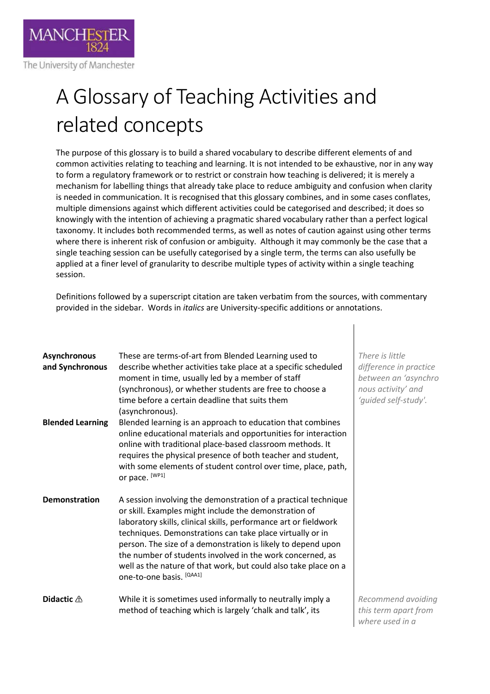

## A Glossary of Teaching Activities and related concepts

The purpose of this glossary is to build a shared vocabulary to describe different elements of and common activities relating to teaching and learning. It is not intended to be exhaustive, nor in any way to form a regulatory framework or to restrict or constrain how teaching is delivered; it is merely a mechanism for labelling things that already take place to reduce ambiguity and confusion when clarity is needed in communication. It is recognised that this glossary combines, and in some cases conflates, multiple dimensions against which different activities could be categorised and described; it does so knowingly with the intention of achieving a pragmatic shared vocabulary rather than a perfect logical taxonomy. It includes both recommended terms, as well as notes of caution against using other terms where there is inherent risk of confusion or ambiguity. Although it may commonly be the case that a single teaching session can be usefully categorised by a single term, the terms can also usefully be applied at a finer level of granularity to describe multiple types of activity within a single teaching session.

Definitions followed by a superscript citation are taken verbatim from the sources, with commentary provided in the sidebar. Words in *italics* are University-specific additions or annotations.

| Asynchronous<br>and Synchronous | These are terms-of-art from Blended Learning used to<br>describe whether activities take place at a specific scheduled<br>moment in time, usually led by a member of staff<br>(synchronous), or whether students are free to choose a<br>time before a certain deadline that suits them<br>(asynchronous).                                                                                                                                                                           | Th <sub>6</sub><br>difj<br>bet<br>not<br>ʻgu |
|---------------------------------|--------------------------------------------------------------------------------------------------------------------------------------------------------------------------------------------------------------------------------------------------------------------------------------------------------------------------------------------------------------------------------------------------------------------------------------------------------------------------------------|----------------------------------------------|
| <b>Blended Learning</b>         | Blended learning is an approach to education that combines<br>online educational materials and opportunities for interaction<br>online with traditional place-based classroom methods. It<br>requires the physical presence of both teacher and student,<br>with some elements of student control over time, place, path,<br>or pace. [WP1]                                                                                                                                          |                                              |
| <b>Demonstration</b>            | A session involving the demonstration of a practical technique<br>or skill. Examples might include the demonstration of<br>laboratory skills, clinical skills, performance art or fieldwork<br>techniques. Demonstrations can take place virtually or in<br>person. The size of a demonstration is likely to depend upon<br>the number of students involved in the work concerned, as<br>well as the nature of that work, but could also take place on a<br>one-to-one basis. [QAA1] |                                              |
| Didactic $\triangle$            | While it is sometimes used informally to neutrally imply a<br>method of teaching which is largely 'chalk and talk', its                                                                                                                                                                                                                                                                                                                                                              | Red<br>thi:                                  |

*There is little difference in practice between an 'asynchro nous activity' and 'guided self-study'.* 

*Recommend avoiding this term apart from where used in a*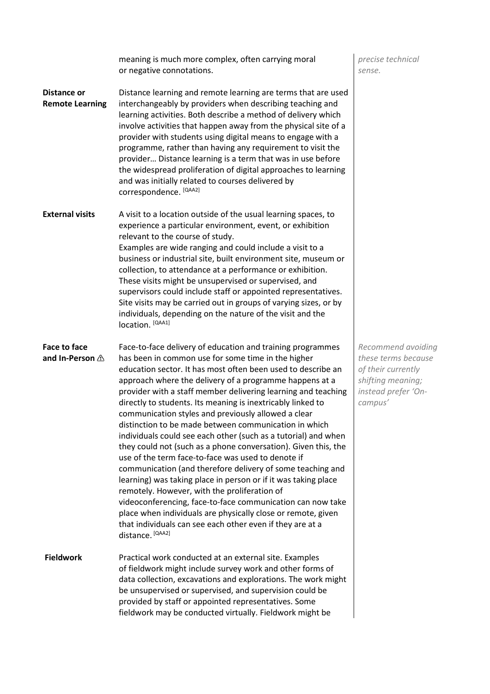|                                              | meaning is much more complex, often carrying moral<br>or negative connotations.                                                                                                                                                                                                                                                                                                                                                                                                                                                                                                                                                                                                                                                                                                                                                                                                                                                                                                                                                                                                      | precise technical<br>sense.                                                                                            |
|----------------------------------------------|--------------------------------------------------------------------------------------------------------------------------------------------------------------------------------------------------------------------------------------------------------------------------------------------------------------------------------------------------------------------------------------------------------------------------------------------------------------------------------------------------------------------------------------------------------------------------------------------------------------------------------------------------------------------------------------------------------------------------------------------------------------------------------------------------------------------------------------------------------------------------------------------------------------------------------------------------------------------------------------------------------------------------------------------------------------------------------------|------------------------------------------------------------------------------------------------------------------------|
| <b>Distance or</b><br><b>Remote Learning</b> | Distance learning and remote learning are terms that are used<br>interchangeably by providers when describing teaching and<br>learning activities. Both describe a method of delivery which<br>involve activities that happen away from the physical site of a<br>provider with students using digital means to engage with a<br>programme, rather than having any requirement to visit the<br>provider Distance learning is a term that was in use before<br>the widespread proliferation of digital approaches to learning<br>and was initially related to courses delivered by<br>correspondence. [QAA2]                                                                                                                                                                                                                                                                                                                                                                                                                                                                          |                                                                                                                        |
| <b>External visits</b>                       | A visit to a location outside of the usual learning spaces, to<br>experience a particular environment, event, or exhibition<br>relevant to the course of study.<br>Examples are wide ranging and could include a visit to a<br>business or industrial site, built environment site, museum or<br>collection, to attendance at a performance or exhibition.<br>These visits might be unsupervised or supervised, and<br>supervisors could include staff or appointed representatives.<br>Site visits may be carried out in groups of varying sizes, or by<br>individuals, depending on the nature of the visit and the<br>location. [QAA1]                                                                                                                                                                                                                                                                                                                                                                                                                                            |                                                                                                                        |
| Face to face<br>and In-Person $\triangle$    | Face-to-face delivery of education and training programmes<br>has been in common use for some time in the higher<br>education sector. It has most often been used to describe an<br>approach where the delivery of a programme happens at a<br>provider with a staff member delivering learning and teaching<br>directly to students. Its meaning is inextricably linked to<br>communication styles and previously allowed a clear<br>distinction to be made between communication in which<br>individuals could see each other (such as a tutorial) and when<br>they could not (such as a phone conversation). Given this, the<br>use of the term face-to-face was used to denote if<br>communication (and therefore delivery of some teaching and<br>learning) was taking place in person or if it was taking place<br>remotely. However, with the proliferation of<br>videoconferencing, face-to-face communication can now take<br>place when individuals are physically close or remote, given<br>that individuals can see each other even if they are at a<br>distance. [QAA2] | Recommend avoiding<br>these terms because<br>of their currently<br>shifting meaning;<br>instead prefer 'On-<br>campus' |
| <b>Fieldwork</b>                             | Practical work conducted at an external site. Examples<br>of fieldwork might include survey work and other forms of<br>data collection, excavations and explorations. The work might<br>be unsupervised or supervised, and supervision could be<br>provided by staff or appointed representatives. Some<br>fieldwork may be conducted virtually. Fieldwork might be                                                                                                                                                                                                                                                                                                                                                                                                                                                                                                                                                                                                                                                                                                                  |                                                                                                                        |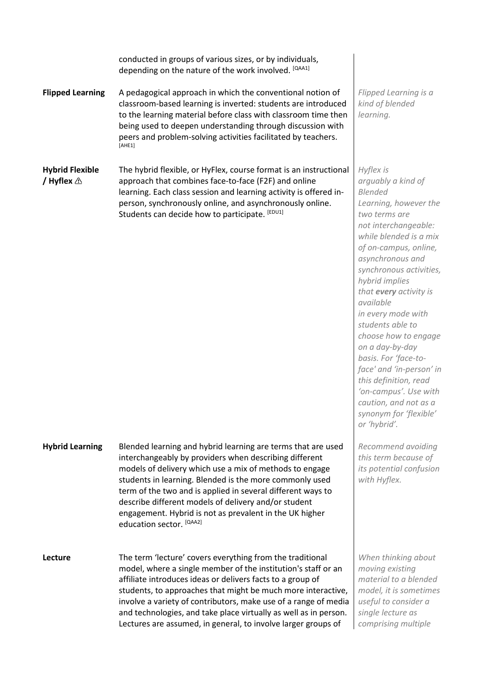conducted in groups of various sizes, or by individuals, depending on the nature of the work involved. [QAA1]

**Flipped Learning** A pedagogical approach in which the conventional notion of classroom-based learning is inverted: students are introduced to the learning material before class with classroom time then being used to deepen understanding through discussion with peers and problem-solving activities facilitated by teachers. [AHE1]

**Hybrid Flexible / Hyflex** The hybrid flexible, or HyFlex, course format is an instructional approach that combines face-to-face (F2F) and online learning. Each class session and learning activity is offered inperson, synchronously online, and asynchronously online. Students can decide how to participate. [EDU1]

**Hybrid Learning** Blended learning and hybrid learning are terms that are used interchangeably by providers when describing different models of delivery which use a mix of methods to engage students in learning. Blended is the more commonly used term of the two and is applied in several different ways to describe different models of delivery and/or student engagement. Hybrid is not as prevalent in the UK higher education sector. [QAA2]

**Lecture** The term 'lecture' covers everything from the traditional model, where a single member of the institution's staff or an affiliate introduces ideas or delivers facts to a group of students, to approaches that might be much more interactive, involve a variety of contributors, make use of a range of media and technologies, and take place virtually as well as in person. Lectures are assumed, in general, to involve larger groups of

*Flipped Learning is a kind of blended learning.*

*Hyflex is arguably a kind of Blended Learning, however the two terms are not interchangeable: while blended is a mix of on-campus, online, asynchronous and synchronous activities, hybrid implies that every activity is available in every mode with students able to choose how to engage on a day-by-day basis. For 'face-toface' and 'in-person' in this definition, read 'on-campus'. Use with caution, and not as a synonym for 'flexible' or 'hybrid'.*

*Recommend avoiding this term because of its potential confusion with Hyflex.*

*When thinking about moving existing material to a blended model, it is sometimes useful to consider a single lecture as comprising multiple*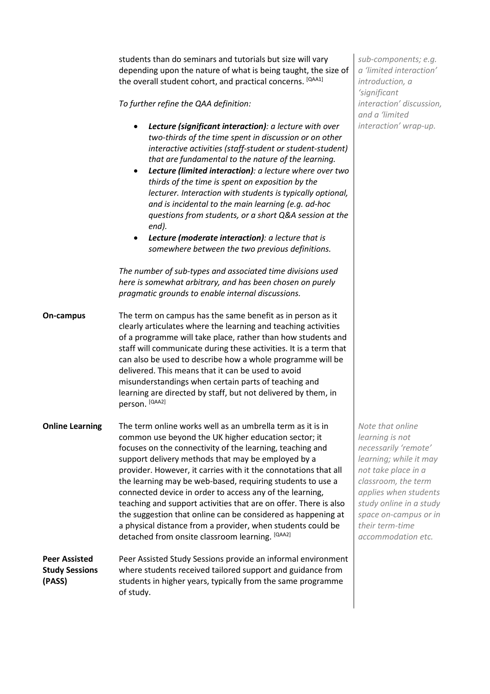students than do seminars and tutorials but size will vary depending upon the nature of what is being taught, the size of the overall student cohort, and practical concerns. [QAA1]

*To further refine the QAA definition:*

- *Lecture (significant interaction): a lecture with over two-thirds of the time spent in discussion or on other interactive activities (staff-student or student-student) that are fundamental to the nature of the learning.*
- *Lecture (limited interaction): a lecture where over two thirds of the time is spent on exposition by the lecturer. Interaction with students is typically optional, and is incidental to the main learning (e.g. ad-hoc questions from students, or a short Q&A session at the end).*
- *Lecture (moderate interaction): a lecture that is somewhere between the two previous definitions.*

*The number of sub-types and associated time divisions used here is somewhat arbitrary, and has been chosen on purely pragmatic grounds to enable internal discussions.* 

**On-campus** The term on campus has the same benefit as in person as it clearly articulates where the learning and teaching activities of a programme will take place, rather than how students and staff will communicate during these activities. It is a term that can also be used to describe how a whole programme will be delivered. This means that it can be used to avoid misunderstandings when certain parts of teaching and learning are directed by staff, but not delivered by them, in person. [QAA2]

**Online Learning** The term online works well as an umbrella term as it is in common use beyond the UK higher education sector; it focuses on the connectivity of the learning, teaching and support delivery methods that may be employed by a provider. However, it carries with it the connotations that all the learning may be web-based, requiring students to use a connected device in order to access any of the learning, teaching and support activities that are on offer. There is also the suggestion that online can be considered as happening at a physical distance from a provider, when students could be detached from onsite classroom learning. [QAA2]

**Peer Assisted Study Sessions (PASS)** Peer Assisted Study Sessions provide an informal environment where students received tailored support and guidance from students in higher years, typically from the same programme of study.

*sub-components; e.g. a 'limited interaction' introduction, a 'significant interaction' discussion, and a 'limited interaction' wrap-up.*

*Note that online learning is not necessarily 'remote' learning; while it may not take place in a classroom, the term applies when students study online in a study space on-campus or in their term-time accommodation etc.*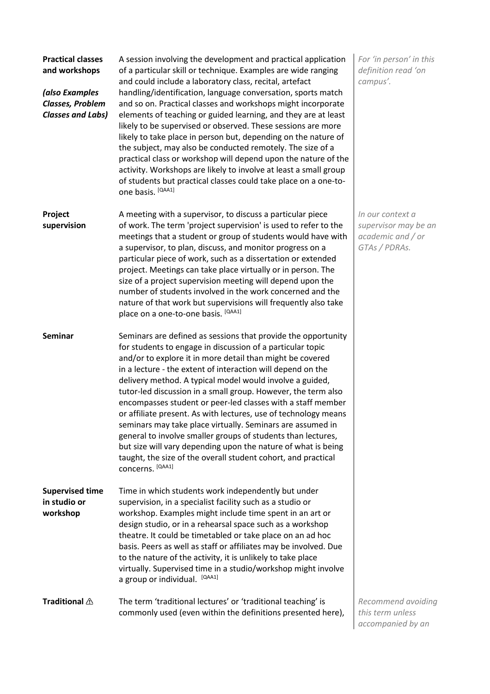| <b>Practical classes</b><br>and workshops<br>(also Examples<br>Classes, Problem<br><b>Classes and Labs)</b> | A session involving the development and practical application<br>of a particular skill or technique. Examples are wide ranging<br>and could include a laboratory class, recital, artefact<br>handling/identification, language conversation, sports match<br>and so on. Practical classes and workshops might incorporate<br>elements of teaching or guided learning, and they are at least<br>likely to be supervised or observed. These sessions are more<br>likely to take place in person but, depending on the nature of<br>the subject, may also be conducted remotely. The size of a<br>practical class or workshop will depend upon the nature of the<br>activity. Workshops are likely to involve at least a small group<br>of students but practical classes could take place on a one-to-<br>one basis. [QAA1] | For 'in person' in this<br>definition read 'on<br>campus'.                     |
|-------------------------------------------------------------------------------------------------------------|---------------------------------------------------------------------------------------------------------------------------------------------------------------------------------------------------------------------------------------------------------------------------------------------------------------------------------------------------------------------------------------------------------------------------------------------------------------------------------------------------------------------------------------------------------------------------------------------------------------------------------------------------------------------------------------------------------------------------------------------------------------------------------------------------------------------------|--------------------------------------------------------------------------------|
| Project<br>supervision                                                                                      | A meeting with a supervisor, to discuss a particular piece<br>of work. The term 'project supervision' is used to refer to the<br>meetings that a student or group of students would have with<br>a supervisor, to plan, discuss, and monitor progress on a<br>particular piece of work, such as a dissertation or extended<br>project. Meetings can take place virtually or in person. The<br>size of a project supervision meeting will depend upon the<br>number of students involved in the work concerned and the<br>nature of that work but supervisions will frequently also take<br>place on a one-to-one basis. [QAA1]                                                                                                                                                                                            | In our context a<br>supervisor may be an<br>academic and / or<br>GTAs / PDRAs. |
| <b>Seminar</b>                                                                                              | Seminars are defined as sessions that provide the opportunity<br>for students to engage in discussion of a particular topic<br>and/or to explore it in more detail than might be covered<br>in a lecture - the extent of interaction will depend on the<br>delivery method. A typical model would involve a guided,<br>tutor-led discussion in a small group. However, the term also<br>encompasses student or peer-led classes with a staff member<br>or affiliate present. As with lectures, use of technology means<br>seminars may take place virtually. Seminars are assumed in<br>general to involve smaller groups of students than lectures,<br>but size will vary depending upon the nature of what is being<br>taught, the size of the overall student cohort, and practical<br>concerns. [QAA1]                |                                                                                |
| <b>Supervised time</b><br>in studio or<br>workshop                                                          | Time in which students work independently but under<br>supervision, in a specialist facility such as a studio or<br>workshop. Examples might include time spent in an art or<br>design studio, or in a rehearsal space such as a workshop<br>theatre. It could be timetabled or take place on an ad hoc<br>basis. Peers as well as staff or affiliates may be involved. Due<br>to the nature of the activity, it is unlikely to take place<br>virtually. Supervised time in a studio/workshop might involve<br>a group or individual. [QAA1]                                                                                                                                                                                                                                                                              |                                                                                |
| Traditional $\triangle$                                                                                     | The term 'traditional lectures' or 'traditional teaching' is<br>commonly used (even within the definitions presented here),                                                                                                                                                                                                                                                                                                                                                                                                                                                                                                                                                                                                                                                                                               | Recommend avoiding<br>this term unless<br>accompanied by an                    |